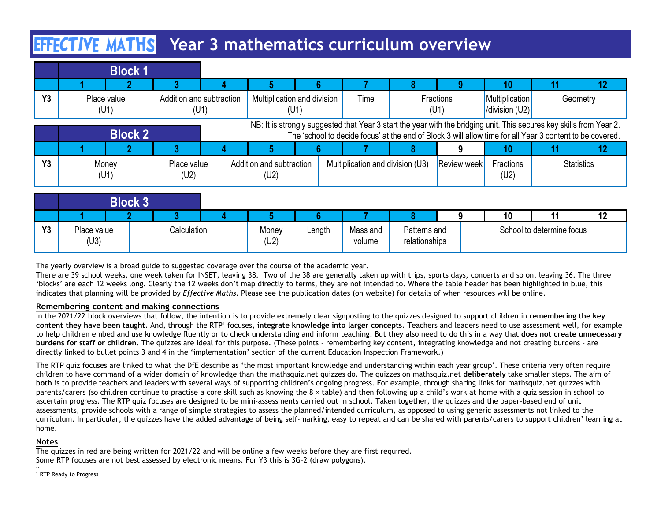# **EFFCTIVE MATHS** Year 3 mathematics curriculum overview

| <b>EFFECTIVE MATHS</b><br>Year 3 mathematics curriculum overview<br><b>Block 1</b><br>11<br>$\mathbf{R}$<br>9<br>10 <sup>°</sup><br>12 <sub>2</sub><br>8<br><b>Y3</b><br>Addition and subtraction<br>Multiplication and division<br>Place value<br>Time<br>Fractions<br>Multiplication<br>Geometry<br>/division (U2)<br>(U1)<br>(U1)<br>(U1)<br>(U1)<br>NB: It is strongly suggested that Year 3 start the year with the bridging unit. This secures key skills from Year 2.<br><b>Block 2</b><br>The 'school to decide focus' at the end of Block 3 will allow time for all Year 3 content to be covered<br>$\overline{3}$<br>8<br>9<br>10<br>11<br>$12 \,$<br><b>Y3</b><br>Addition and subtraction<br>Multiplication and division (U3)<br>Place value<br><b>Review week</b><br>Fractions<br><b>Statistics</b><br>Money<br>(U1)<br>(U2)<br>(U2)<br>(U2)<br><b>Block 3</b><br>12<br>q<br>10<br>11<br>3<br>Y3<br>Calculation<br>School to determine focus<br>Place value<br>Mass and<br>Patterns and<br>Money<br>Length<br>(U3)<br>(U2)<br>relationships<br>volume |  |  |  |  |  |  |
|--------------------------------------------------------------------------------------------------------------------------------------------------------------------------------------------------------------------------------------------------------------------------------------------------------------------------------------------------------------------------------------------------------------------------------------------------------------------------------------------------------------------------------------------------------------------------------------------------------------------------------------------------------------------------------------------------------------------------------------------------------------------------------------------------------------------------------------------------------------------------------------------------------------------------------------------------------------------------------------------------------------------------------------------------------------------|--|--|--|--|--|--|
|                                                                                                                                                                                                                                                                                                                                                                                                                                                                                                                                                                                                                                                                                                                                                                                                                                                                                                                                                                                                                                                                    |  |  |  |  |  |  |
|                                                                                                                                                                                                                                                                                                                                                                                                                                                                                                                                                                                                                                                                                                                                                                                                                                                                                                                                                                                                                                                                    |  |  |  |  |  |  |
|                                                                                                                                                                                                                                                                                                                                                                                                                                                                                                                                                                                                                                                                                                                                                                                                                                                                                                                                                                                                                                                                    |  |  |  |  |  |  |
|                                                                                                                                                                                                                                                                                                                                                                                                                                                                                                                                                                                                                                                                                                                                                                                                                                                                                                                                                                                                                                                                    |  |  |  |  |  |  |
|                                                                                                                                                                                                                                                                                                                                                                                                                                                                                                                                                                                                                                                                                                                                                                                                                                                                                                                                                                                                                                                                    |  |  |  |  |  |  |
|                                                                                                                                                                                                                                                                                                                                                                                                                                                                                                                                                                                                                                                                                                                                                                                                                                                                                                                                                                                                                                                                    |  |  |  |  |  |  |
|                                                                                                                                                                                                                                                                                                                                                                                                                                                                                                                                                                                                                                                                                                                                                                                                                                                                                                                                                                                                                                                                    |  |  |  |  |  |  |
|                                                                                                                                                                                                                                                                                                                                                                                                                                                                                                                                                                                                                                                                                                                                                                                                                                                                                                                                                                                                                                                                    |  |  |  |  |  |  |
|                                                                                                                                                                                                                                                                                                                                                                                                                                                                                                                                                                                                                                                                                                                                                                                                                                                                                                                                                                                                                                                                    |  |  |  |  |  |  |
|                                                                                                                                                                                                                                                                                                                                                                                                                                                                                                                                                                                                                                                                                                                                                                                                                                                                                                                                                                                                                                                                    |  |  |  |  |  |  |
|                                                                                                                                                                                                                                                                                                                                                                                                                                                                                                                                                                                                                                                                                                                                                                                                                                                                                                                                                                                                                                                                    |  |  |  |  |  |  |
|                                                                                                                                                                                                                                                                                                                                                                                                                                                                                                                                                                                                                                                                                                                                                                                                                                                                                                                                                                                                                                                                    |  |  |  |  |  |  |

|                |                     | <b>Block 3</b> |             |               |        |                    |                               |  |    |                           |           |
|----------------|---------------------|----------------|-------------|---------------|--------|--------------------|-------------------------------|--|----|---------------------------|-----------|
|                |                     |                |             |               |        |                    |                               |  | 10 |                           | 40<br>. . |
| Y <sub>3</sub> | Place value<br>(U3) |                | Calculation | Money<br>(U2) | Length | Mass and<br>volume | Patterns and<br>relationships |  |    | School to determine focus |           |

### Remembering content and making connections

The RTP quiz focuses are linked to what the DfE describe as 'the most important knowledge and understanding within each year group'. These criteria very often require children to have command of a wider domain of knowledge than the mathsquiz.net quizzes do. The quizzes on mathsquiz.net deliberately take smaller steps. The aim of both is to provide teachers and leaders with several ways of supporting children's ongoing progress. For example, through sharing links for mathsquiz.net quizzes with (0.4)<br>
1992 Block 3<br>
1993 Block 3<br>
(U2) Block 3<br>
1993 Block a child electrom continue to present contract a core skill such as a core state and school to determine focus<br>
1993 Block a child electrom continue to present con ascertain progress. The RTP quiz focuses are designed to be mini-assessments carried out in school. Taken together, the quizzes and the paper-based end of unit **Block 3**<br> **Passed voetners is a range distribution** (U2) (2) and the planned coverage over the course of the academic year.<br>
The yearly overview is a broad guide to suggested coverage over the course of the academic year. curriculum. In particular, the quizzes have the added advantage of being self-marking, easy to repeat and can be shared with parents/carers to support children' learning at home.

### Notes

The quizzes in red are being written for 2021/22 and will be online a few weeks before they are first required. Some RTP focuses are not best assessed by electronic means. For Y3 this is 3G–2 (draw polygons).

<sup>1</sup> RTP Ready to Progress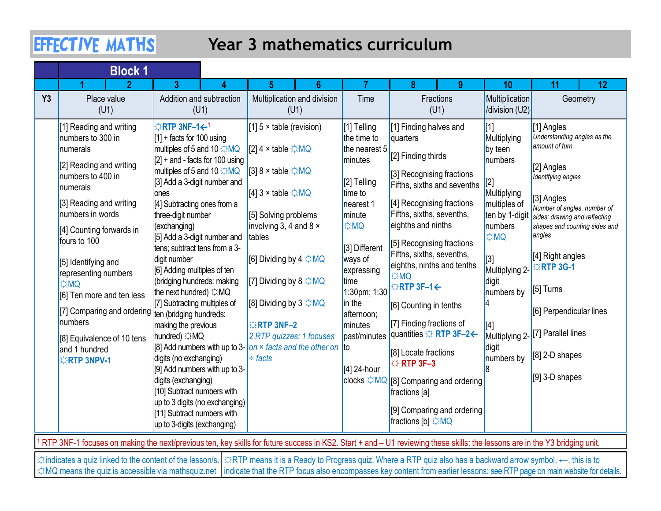## Year 3 mathematics curriculum

|           | <b>EFFECTIVE MATHS</b>                                                                  |                                                                                                                      | Year 3 mathematics curriculum                                                                                                     |                                                |                                                                                                                                      |                                                          |                                                                                                                       |
|-----------|-----------------------------------------------------------------------------------------|----------------------------------------------------------------------------------------------------------------------|-----------------------------------------------------------------------------------------------------------------------------------|------------------------------------------------|--------------------------------------------------------------------------------------------------------------------------------------|----------------------------------------------------------|-----------------------------------------------------------------------------------------------------------------------|
|           | <b>Block 1</b>                                                                          |                                                                                                                      |                                                                                                                                   |                                                |                                                                                                                                      |                                                          |                                                                                                                       |
| <b>Y3</b> | Place value                                                                             | Addition and subtraction                                                                                             | 6<br>Multiplication and division                                                                                                  | Time                                           | 9<br>Fractions                                                                                                                       | 10<br>Multiplication                                     | 12 <sup>2</sup><br>Geometry                                                                                           |
|           | (U1)                                                                                    | (U1)                                                                                                                 | (U1)                                                                                                                              |                                                | (U1)                                                                                                                                 | /division (U2)                                           |                                                                                                                       |
|           | [1] Reading and writing<br>numbers to 300 in<br>numerals                                | $\Huge{\sim}$ RTP 3NF-1 $\Huge{\leftarrow}^1$<br>$[1]$ + facts for 100 using<br>multiples of 5 and 10 $\div$ MQ      | [1] $5 \times$ table (revision)<br>$[2]$ 4 x table $\angle MQ$                                                                    | [1] Telling<br>the time to<br>the nearest 5    | [1] Finding halves and<br>quarters<br>[2] Finding thirds                                                                             | [1]<br>Multiplying<br>by teen                            | [1] Angles<br>Understanding angles as the<br>amount of turn                                                           |
|           | [2] Reading and writing<br>numbers to 400 in<br>numerals                                | $[2]$ + and - facts for 100 using<br>multiples of 5 and 10 $\div$ MQ<br>[3] Add a 3-digit number and<br>ones         | [3] 8 x table $\angle MQ$<br>$[4]$ 3 × table $\div$ MQ                                                                            | minutes<br>[2] Telling<br>time to              | [3] Recognising fractions<br>Fifths, sixths and sevenths                                                                             | numbers<br>Multiplying                                   | [2] Angles<br>Identifying angles                                                                                      |
|           | [3] Reading and writing<br>numbers in words<br>[4] Counting forwards in<br>fours to 100 | [4] Subtracting ones from a<br>three-digit number<br>(exchanging)<br>[5] Add a 3-digit number and                    | [5] Solving problems<br>involving 3, 4 and 8 $\times$<br>tables                                                                   | nearest 1<br>minute<br><b>OMC</b>              | [4] Recognising fractions<br>Fifths, sixths, sevenths,<br>eighths and ninths<br>[5] Recognising fractions                            | multiples of<br>ten by 1-digit<br>numbers<br><b>DM</b> Q | [3] Angles<br>Number of angles, number of<br>sides; drawing and reflecting<br>shapes and counting sides and<br>angles |
|           | $[5]$ Identifying and<br>representing numbers<br><b>DM</b> ☆                            | tens; subtract tens from a 3-<br>digit number<br>[6] Adding multiples of ten<br>(bridging hundreds: making           | [6] Dividing by $4 \times MQ$<br>[7] Dividing by $8 \times MQ$                                                                    | [3] Different<br>ways of<br>expressing<br>time | Fifths, sixths, sevenths,<br>eighths, ninths and tenths<br>☆МQ<br>$x$ RTP 3F-1 $\leftarrow$                                          | Multiplying 2-<br><b>digit</b>                           | [4] Right angles<br>$\triangle$ RTP 3G-1<br>$[5]$ Turns                                                               |
|           | [6] Ten more and ten less<br>[7] Comparing and ordering ten (bridging hundreds:         | the next hundred) ☆MQ<br>[7] Subtracting multiples of                                                                | [8] Dividing by $3 \times MQ$                                                                                                     | $1:30$ pm; 1:30<br>in the<br>afternoon;        | [6] Counting in tenths                                                                                                               | numbers by                                               | [6] Perpendicular lines                                                                                               |
|           | <i>Inumbers</i><br>[8] Equivalence of 10 tens<br>and 1 hundred<br><b>ERTP 3NPV-1</b>    | making the previous<br>hundred) ☆MQ<br>digits (no exchanging)                                                        | $\triangle$ RTP 3NF-2<br>2 RTP quizzes: 1 focuses<br>[8] Add numbers with up to 3- on x facts and the other on to<br>$\div$ facts | minutes<br>past/minutes                        | [7] Finding fractions of<br>quantities $\Leftrightarrow$ RTP 3F-2 $\leftarrow$<br>[8] Locate fractions<br>$\Leftrightarrow$ RTP 3F-3 | digit<br>numbers by                                      | Multiplying 2- [7] Parallel lines<br>$[8]$ 2-D shapes                                                                 |
|           |                                                                                         | [9] Add numbers with up to 3-<br>digits (exchanging)<br>[10] Subtract numbers with<br>up to 3 digits (no exchanging) |                                                                                                                                   | [4] 24-hour                                    | clocks ☆MQ [[8] Comparing and ordering<br>fractions [a]                                                                              |                                                          | $[9]$ 3-D shapes                                                                                                      |
|           |                                                                                         | [11] Subtract numbers with<br>up to 3-digits (exchanging)                                                            |                                                                                                                                   |                                                | [9] Comparing and ordering<br>fractions [b] ☆MQ                                                                                      |                                                          |                                                                                                                       |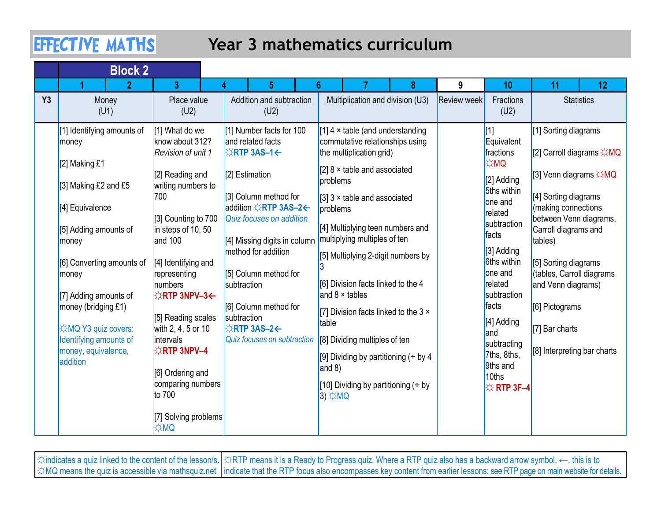## Year 3 mathematics curriculum

| <b>Y3</b> |
|-----------|
|           |

☼indicates a quiz linked to the content of the lesson/s. ☼RTP means it is a Ready to Progress quiz. Where a RTP quiz also has a backward arrow symbol, ←, this is to ☆MQ means the quiz is accessible via mathsquiz.net |indicate that the RTP focus also encompasses key content from earlier lessons: see RTP page on main website for details.